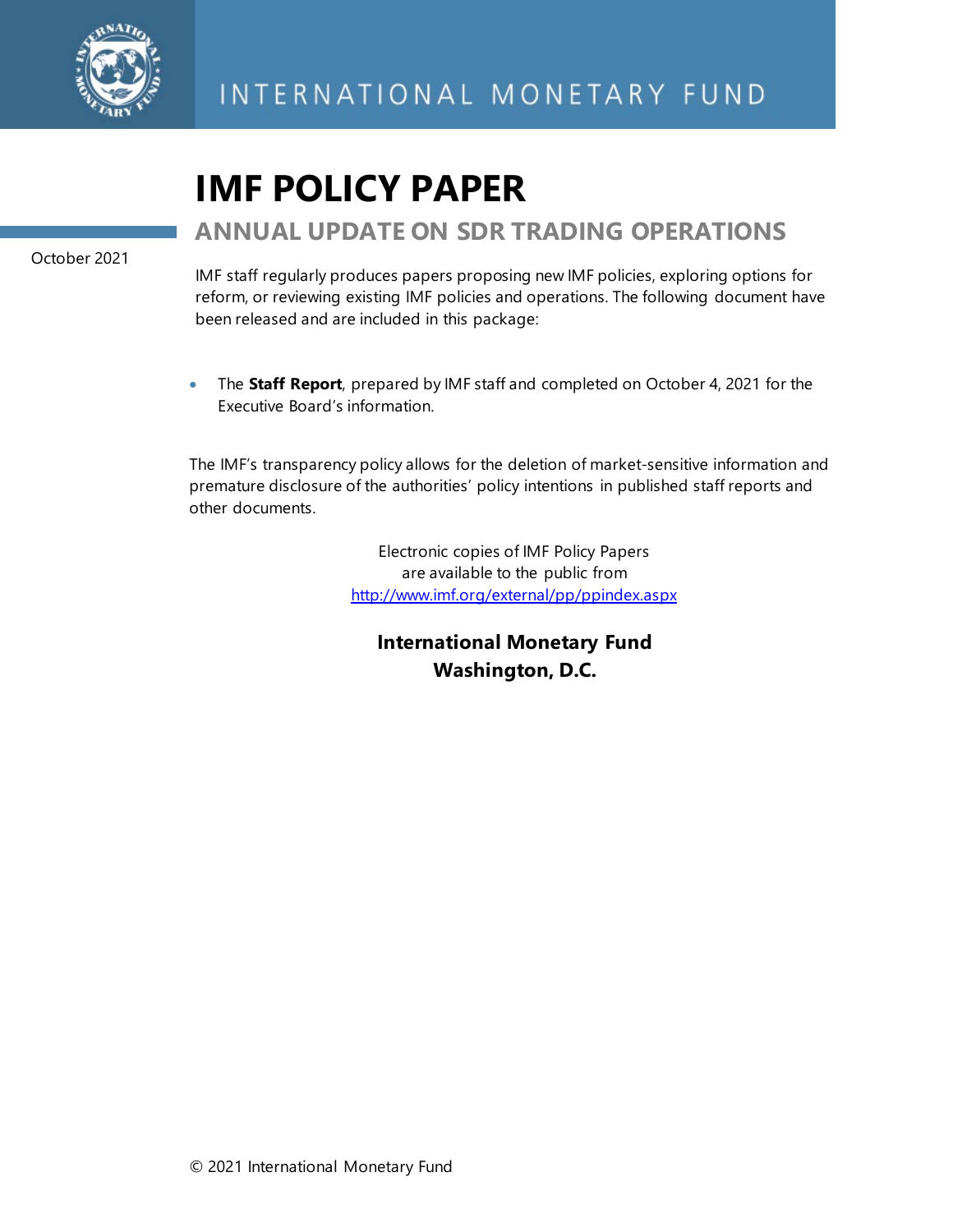

# **IMF POLICY PAPER**

## **ANNUAL UPDATE ON SDR TRADING OPERATIONS**

October 2021

IMF staff regularly produces papers proposing new IMF policies, exploring options for reform, or reviewing existing IMF policies and operations. The following document have been released and are included in this package:

• The **Staff Report**, prepared by IMF staff and completed on October 4, 2021 for the Executive Board's information.

The IMF's transparency policy allows for the deletion of market-sensitive information and premature disclosure of the authorities' policy intentions in published staff reports and other documents.

> Electronic copies of IMF Policy Papers are available to the public from <http://www.imf.org/external/pp/ppindex.aspx>

**International Monetary Fund Washington, D.C.**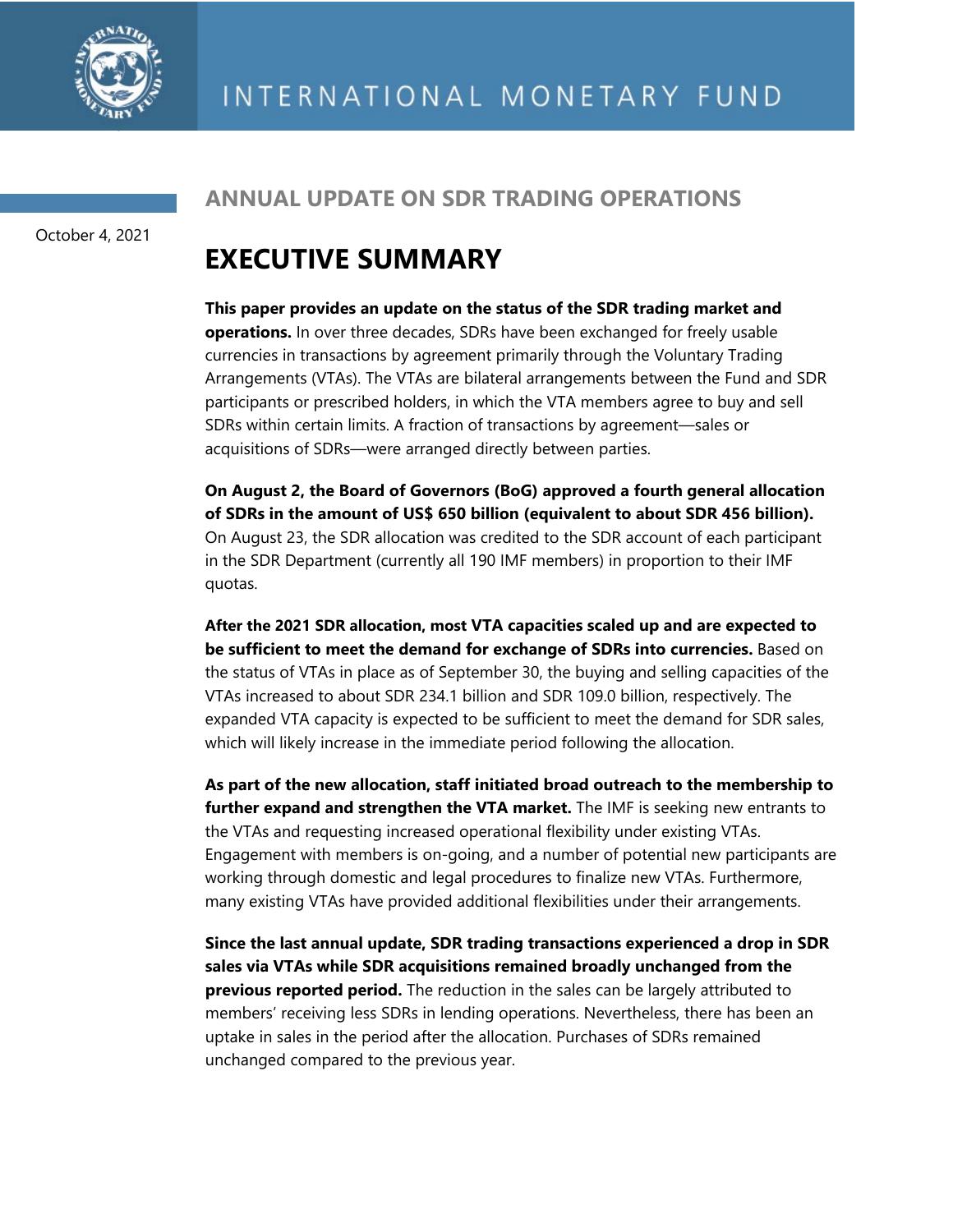

October 4, 2021

### **ANNUAL UPDATE ON SDR TRADING OPERATIONS**

## **EXECUTIVE SUMMARY**

**This paper provides an update on the status of the SDR trading market and operations.** In over three decades, SDRs have been exchanged for freely usable currencies in transactions by agreement primarily through the Voluntary Trading Arrangements (VTAs). The VTAs are bilateral arrangements between the Fund and SDR participants or prescribed holders, in which the VTA members agree to buy and sell SDRs within certain limits. A fraction of transactions by agreement—sales or acquisitions of SDRs—were arranged directly between parties.

**On August 2, the Board of Governors (BoG) approved a fourth general allocation of SDRs in the amount of US\$ 650 billion (equivalent to about SDR 456 billion).** On August 23, the SDR allocation was credited to the SDR account of each participant in the SDR Department (currently all 190 IMF members) in proportion to their IMF quotas.

**After the 2021 SDR allocation, most VTA capacities scaled up and are expected to be sufficient to meet the demand for exchange of SDRs into currencies.** Based on the status of VTAs in place as of September 30, the buying and selling capacities of the VTAs increased to about SDR 234.1 billion and SDR 109.0 billion, respectively. The expanded VTA capacity is expected to be sufficient to meet the demand for SDR sales, which will likely increase in the immediate period following the allocation.

**As part of the new allocation, staff initiated broad outreach to the membership to further expand and strengthen the VTA market.** The IMF is seeking new entrants to the VTAs and requesting increased operational flexibility under existing VTAs. Engagement with members is on-going, and a number of potential new participants are working through domestic and legal procedures to finalize new VTAs. Furthermore, many existing VTAs have provided additional flexibilities under their arrangements.

**Since the last annual update, SDR trading transactions experienced a drop in SDR sales via VTAs while SDR acquisitions remained broadly unchanged from the previous reported period.** The reduction in the sales can be largely attributed to members' receiving less SDRs in lending operations. Nevertheless, there has been an uptake in sales in the period after the allocation. Purchases of SDRs remained unchanged compared to the previous year.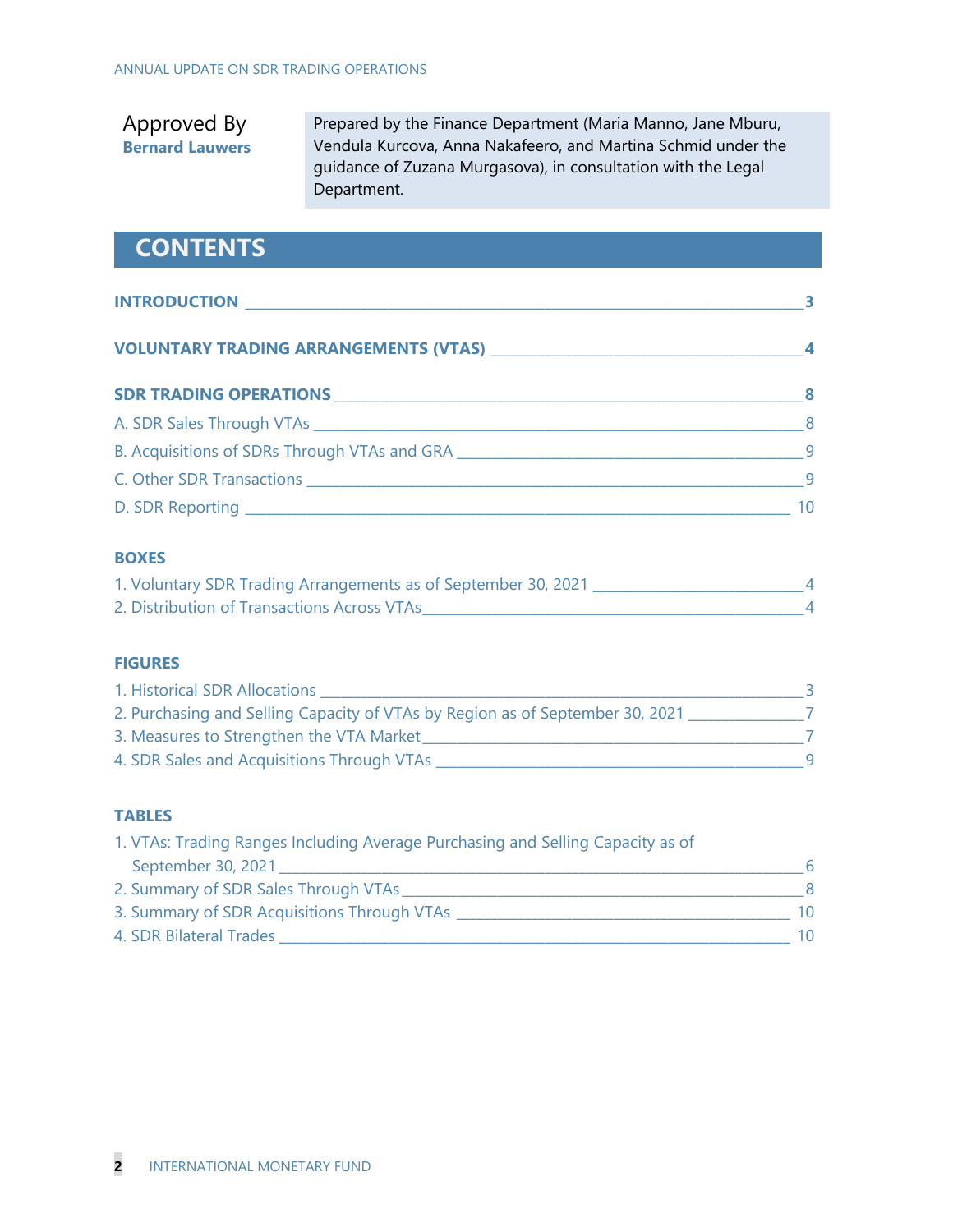### Approved By **Bernard Lauwers**

Prepared by the Finance Department (Maria Manno, Jane Mburu, Vendula Kurcova, Anna Nakafeero, and Martina Schmid under the guidance of Zuzana Murgasova), in consultation with the Legal Department.

## **CONTENTS**

| <b>INTRODUCTION</b>                          |  |
|----------------------------------------------|--|
|                                              |  |
| <b>VOLUNTARY TRADING ARRANGEMENTS (VTAS)</b> |  |

| <b>SDR TRADING OPERATIONS</b>                | -8 |
|----------------------------------------------|----|
| A. SDR Sales Through VTAs                    | 8  |
| B. Acquisitions of SDRs Through VTAs and GRA |    |
| C. Other SDR Transactions                    |    |
| D. SDR Reporting                             | 10 |

#### **BOXES**

| 1. Voluntary SDR Trading Arrangements as of September 30, 2021 |  |
|----------------------------------------------------------------|--|
| 2. Distribution of Transactions Across VTAs                    |  |

#### **FIGURES**

| 1. Historical SDR Allocations                                                 |   |
|-------------------------------------------------------------------------------|---|
| 2. Purchasing and Selling Capacity of VTAs by Region as of September 30, 2021 |   |
| 3. Measures to Strengthen the VTA Market                                      |   |
| 4. SDR Sales and Acquisitions Through VTAs                                    | q |

#### **TABLES**

| 1. VTAs: Trading Ranges Including Average Purchasing and Selling Capacity as of |    |
|---------------------------------------------------------------------------------|----|
| September 30, 2021                                                              |    |
| 2. Summary of SDR Sales Through VTAs                                            |    |
| 3. Summary of SDR Acquisitions Through VTAs                                     | 10 |
| 4. SDR Bilateral Trades                                                         | 10 |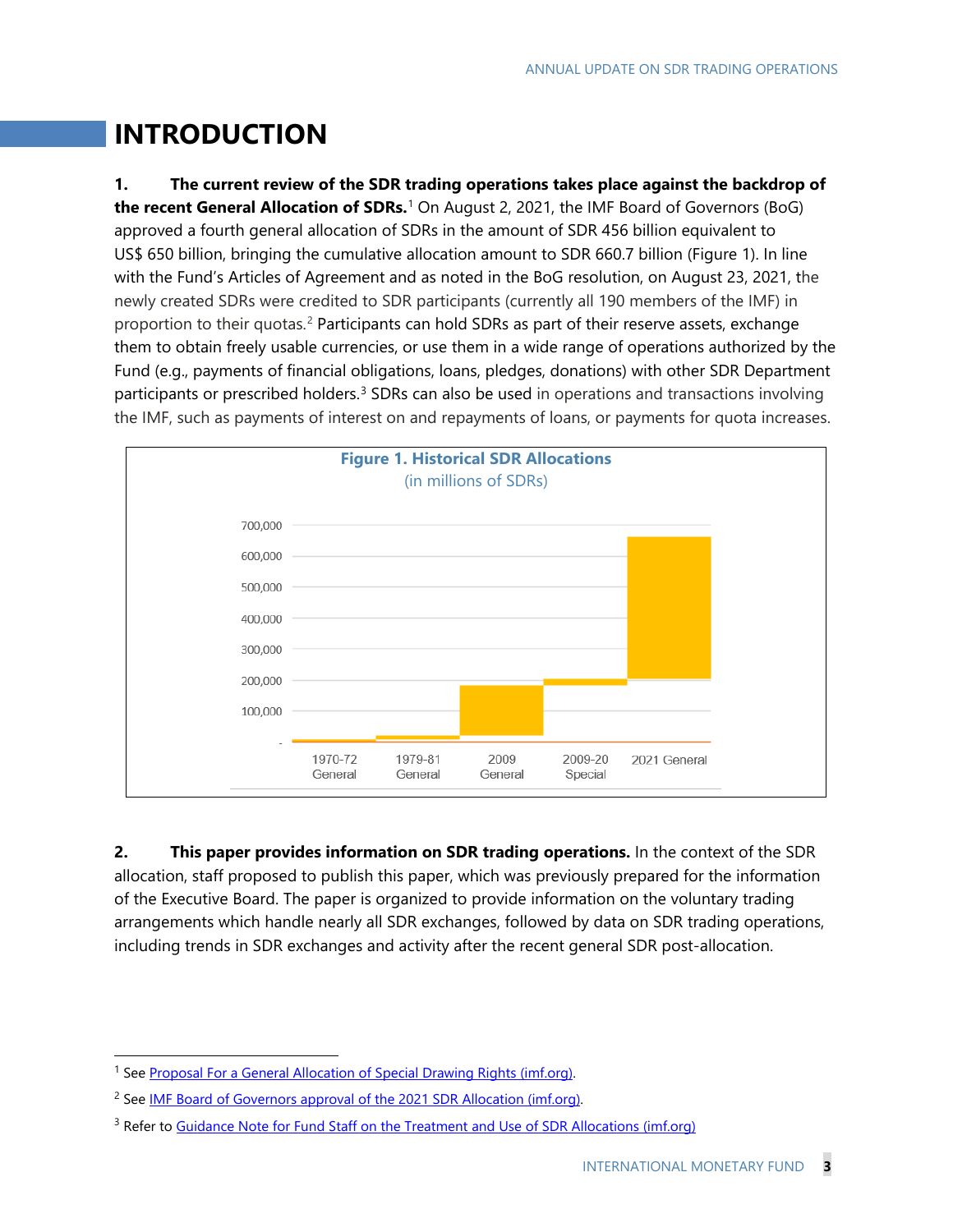## **INTRODUCTION**

**1. The current review of the SDR trading operations takes place against the backdrop of the recent General Allocation of SDRs.**[1](#page-3-0) On August 2, 2021, the IMF Board of Governors (BoG) approved a fourth general allocation of SDRs in the amount of SDR 456 billion equivalent to US\$ 650 billion, bringing the cumulative allocation amount to SDR 660.7 billion (Figure 1). In line with the Fund's Articles of Agreement and as noted in the BoG resolution, on August 23, 2021, the newly created SDRs were credited to SDR participants (currently all 190 members of the IMF) in proportion to their quotas.<sup>[2](#page-3-1)</sup> Participants can hold SDRs as part of their reserve assets, exchange them to obtain freely usable currencies, or use them in a wide range of operations authorized by the Fund (e.g., payments of financial obligations, loans, pledges, donations) with other SDR Department participants or prescribed holders.<sup>[3](#page-3-2)</sup> SDRs can also be used in operations and transactions involving the IMF, such as payments of interest on and repayments of loans, or payments for quota increases.



**2. This paper provides information on SDR trading operations.** In the context of the SDR allocation, staff proposed to publish this paper, which was previously prepared for the information of the Executive Board. The paper is organized to provide information on the voluntary trading arrangements which handle nearly all SDR exchanges, followed by data on SDR trading operations, including trends in SDR exchanges and activity after the recent general SDR post-allocation.

<span id="page-3-0"></span><sup>&</sup>lt;sup>1</sup> See Proposal For a General Allocation of Special Drawing Rights (imf.org).

<span id="page-3-1"></span><sup>&</sup>lt;sup>2</sup> See [IMF Board of Governors approval of the 2021 SDR Allocation \(imf.org\).](https://www.imf.org/en/News/Articles/2021/07/30/pr21235-imf-governors-approve-a-historic-us-650-billion-sdr-allocation-of-special-drawing-rights)

<span id="page-3-2"></span><sup>&</sup>lt;sup>3</sup> Refer to [Guidance Note for Fund Staff on the Treatment and Use of SDR Allocations \(imf.org\)](https://www.imf.org/en/Publications/Policy-Papers/Issues/2021/08/19/Guidance-Note-for-Fund-Staff-on-the-Treatment-and-Use-of-SDR-Allocations-464319)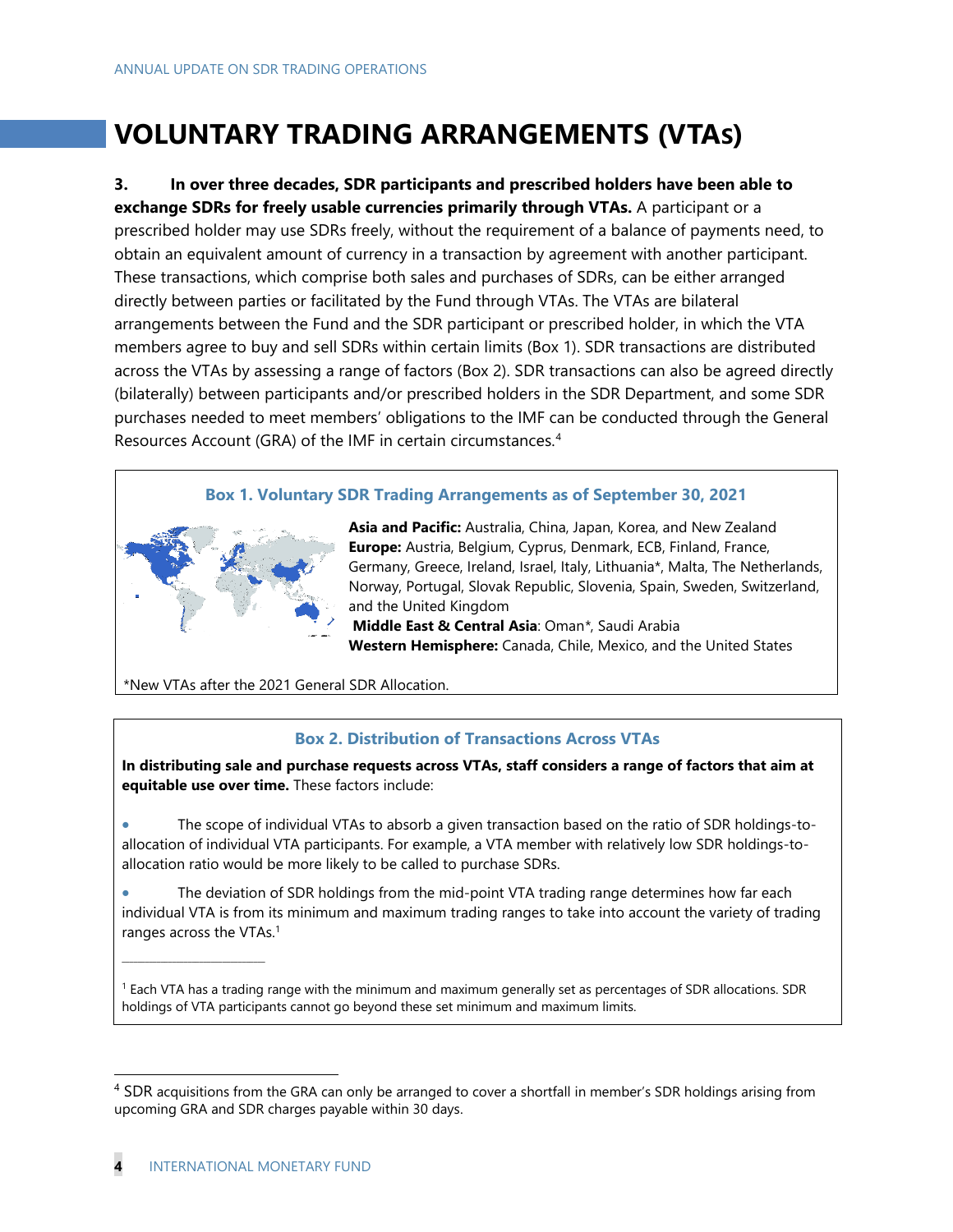## **VOLUNTARY TRADING ARRANGEMENTS (VTAS)**

**3. In over three decades, SDR participants and prescribed holders have been able to exchange SDRs for freely usable currencies primarily through VTAs.** A participant or a prescribed holder may use SDRs freely, without the requirement of a balance of payments need, to obtain an equivalent amount of currency in a transaction by agreement with another participant. These transactions, which comprise both sales and purchases of SDRs, can be either arranged directly between parties or facilitated by the Fund through VTAs. The VTAs are bilateral arrangements between the Fund and the SDR participant or prescribed holder, in which the VTA members agree to buy and sell SDRs within certain limits (Box 1). SDR transactions are distributed across the VTAs by assessing a range of factors (Box 2). SDR transactions can also be agreed directly (bilaterally) between participants and/or prescribed holders in the SDR Department, and some SDR purchases needed to meet members' obligations to the IMF can be conducted through the General Resources Account (GRA) of the IMF in certain circumstances.[4](#page-4-0)

#### **Box 1. Voluntary SDR Trading Arrangements as of September 30, 2021**



**Asia and Pacific:** Australia, China, Japan, Korea, and New Zealand **Europe:** Austria, Belgium, Cyprus, Denmark, ECB, Finland, France, Germany, Greece, Ireland, Israel, Italy, Lithuania\*, Malta, The Netherlands, Norway, Portugal, Slovak Republic, Slovenia, Spain, Sweden, Switzerland, and the United Kingdom

**Middle East & Central Asia**: Oman*\**, Saudi Arabia **Western Hemisphere:** Canada, Chile, Mexico, and the United States

\*New VTAs after the 2021 General SDR Allocation.

#### **Box 2. Distribution of Transactions Across VTAs**

**In distributing sale and purchase requests across VTAs, staff considers a range of factors that aim at equitable use over time.** These factors include:

• The scope of individual VTAs to absorb a given transaction based on the ratio of SDR holdings-toallocation of individual VTA participants. For example, a VTA member with relatively low SDR holdings-toallocation ratio would be more likely to be called to purchase SDRs.

The deviation of SDR holdings from the mid-point VTA trading range determines how far each individual VTA is from its minimum and maximum trading ranges to take into account the variety of trading ranges across the VTAs.<sup>1</sup>

<sup>1</sup> Each VTA has a trading range with the minimum and maximum generally set as percentages of SDR allocations. SDR holdings of VTA participants cannot go beyond these set minimum and maximum limits.

\_\_\_\_\_\_\_\_\_\_\_\_\_\_\_\_\_\_\_\_\_\_\_\_\_\_\_\_\_\_\_\_\_\_\_\_\_

<span id="page-4-0"></span><sup>&</sup>lt;sup>4</sup> SDR acquisitions from the GRA can only be arranged to cover a shortfall in member's SDR holdings arising from upcoming GRA and SDR charges payable within 30 days.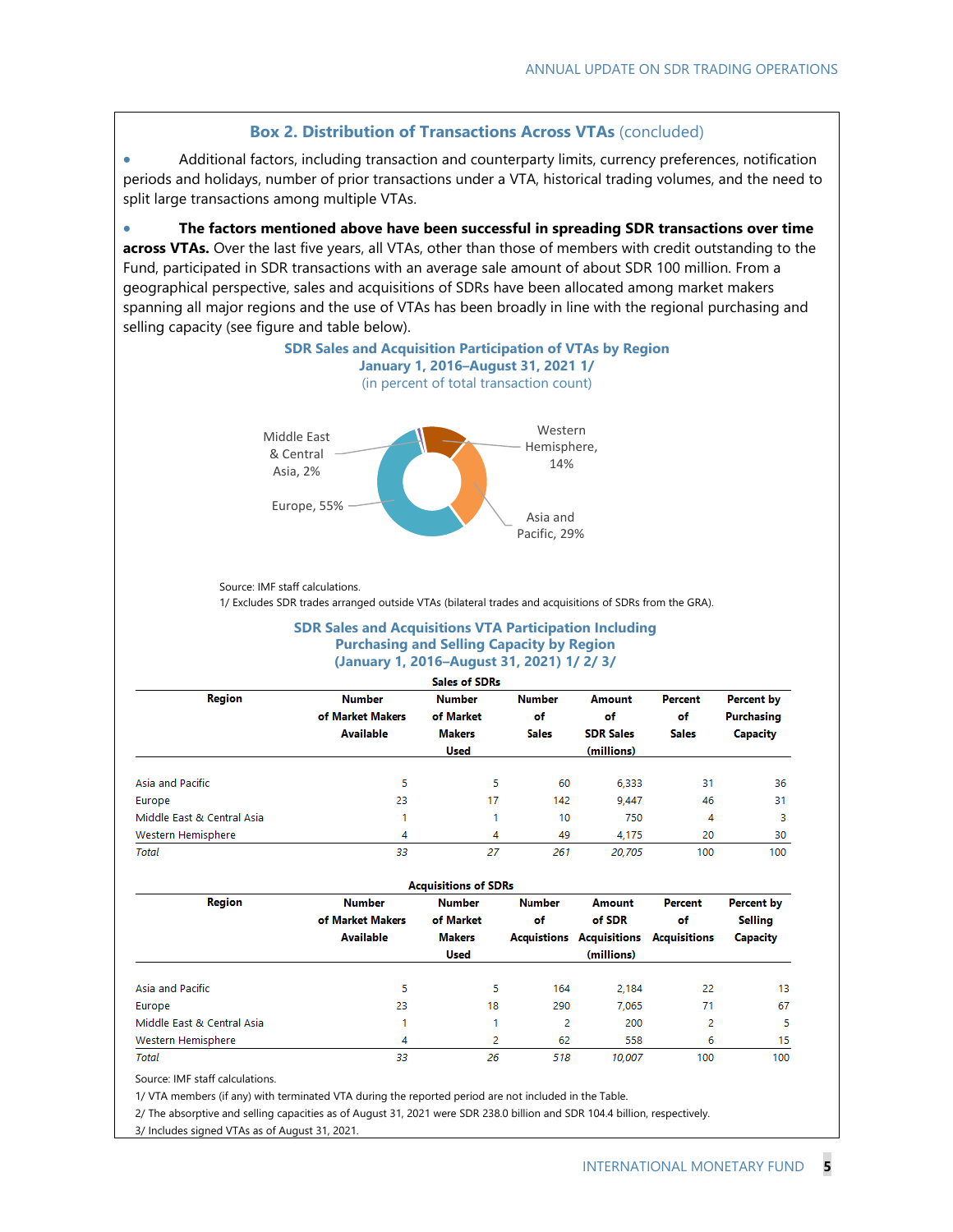#### **Box 2. Distribution of Transactions Across VTAs** (concluded)

• Additional factors, including transaction and counterparty limits, currency preferences, notification periods and holidays, number of prior transactions under a VTA, historical trading volumes, and the need to split large transactions among multiple VTAs.

• **The factors mentioned above have been successful in spreading SDR transactions over time across VTAs.** Over the last five years, all VTAs, other than those of members with credit outstanding to the Fund, participated in SDR transactions with an average sale amount of about SDR 100 million. From a geographical perspective, sales and acquisitions of SDRs have been allocated among market makers spanning all major regions and the use of VTAs has been broadly in line with the regional purchasing and



Source: IMF staff calculations.

1/ Excludes SDR trades arranged outside VTAs (bilateral trades and acquisitions of SDRs from the GRA).

#### **SDR Sales and Acquisitions VTA Participation Including Purchasing and Selling Capacity by Region (January 1, 2016–August 31, 2021) 1/ 2/ 3/**

|                            |                  | <b>Sales of SDRs</b> |               |                  |              |                 |  |
|----------------------------|------------------|----------------------|---------------|------------------|--------------|-----------------|--|
| Region                     | <b>Number</b>    | <b>Number</b>        | <b>Number</b> | Amount           | Percent      | Percent by      |  |
|                            | of Market Makers | of Market            | of            | of               | of           | Purchasing      |  |
|                            | <b>Available</b> | <b>Makers</b>        | <b>Sales</b>  | <b>SDR Sales</b> | <b>Sales</b> | <b>Capacity</b> |  |
|                            |                  | <b>Used</b>          |               | (millions)       |              |                 |  |
| Asia and Pacific           | 5                | 5                    | 60            | 6.333            | 31           | 36              |  |
| Europe                     | 23               | 17                   | 142           | 9.447            | 46           | 31              |  |
| Middle East & Central Asia |                  |                      | 10            | 750              | 4            | 3               |  |
| Western Hemisphere         | 4                | 4                    | 49            | 4.175            | 20           | 30              |  |
| <b>Total</b>               | 33               | 27                   | 261           | 20.705           | 100          | 100             |  |

|                            |                  | <b>Acquisitions of SDRs</b> |               |              |                     |            |  |
|----------------------------|------------------|-----------------------------|---------------|--------------|---------------------|------------|--|
| <b>Region</b>              | <b>Number</b>    | <b>Number</b>               | <b>Number</b> | Amount       | Percent             | Percent by |  |
|                            | of Market Makers | of Market                   | of            | of SDR       | of                  | Selling    |  |
|                            | <b>Available</b> | <b>Makers</b>               | Acquistions   | Acquisitions | <b>Acquisitions</b> | Capacity   |  |
|                            |                  | <b>Used</b>                 |               | (millions)   |                     |            |  |
| Asia and Pacific           | 5                | 5                           | 164           | 2.184        | 22                  | 13         |  |
| Europe                     | 23               | 18                          | 290           | 7.065        | 71                  | 67         |  |
| Middle East & Central Asia |                  |                             | 2             | 200          | 2                   | 5          |  |
| Western Hemisphere         | 4                | 2                           | 62            | 558          | 6                   | 15         |  |
| <b>Total</b>               | 33               | 26                          | 518           | 10.007       | 100                 | 100        |  |

Source: IMF staff calculations.

1/ VTA members (if any) with terminated VTA during the reported period are not included in the Table.

2/ The absorptive and selling capacities as of August 31, 2021 were SDR 238.0 billion and SDR 104.4 billion, respectively.

3/ Includes signed VTAs as of August 31, 2021.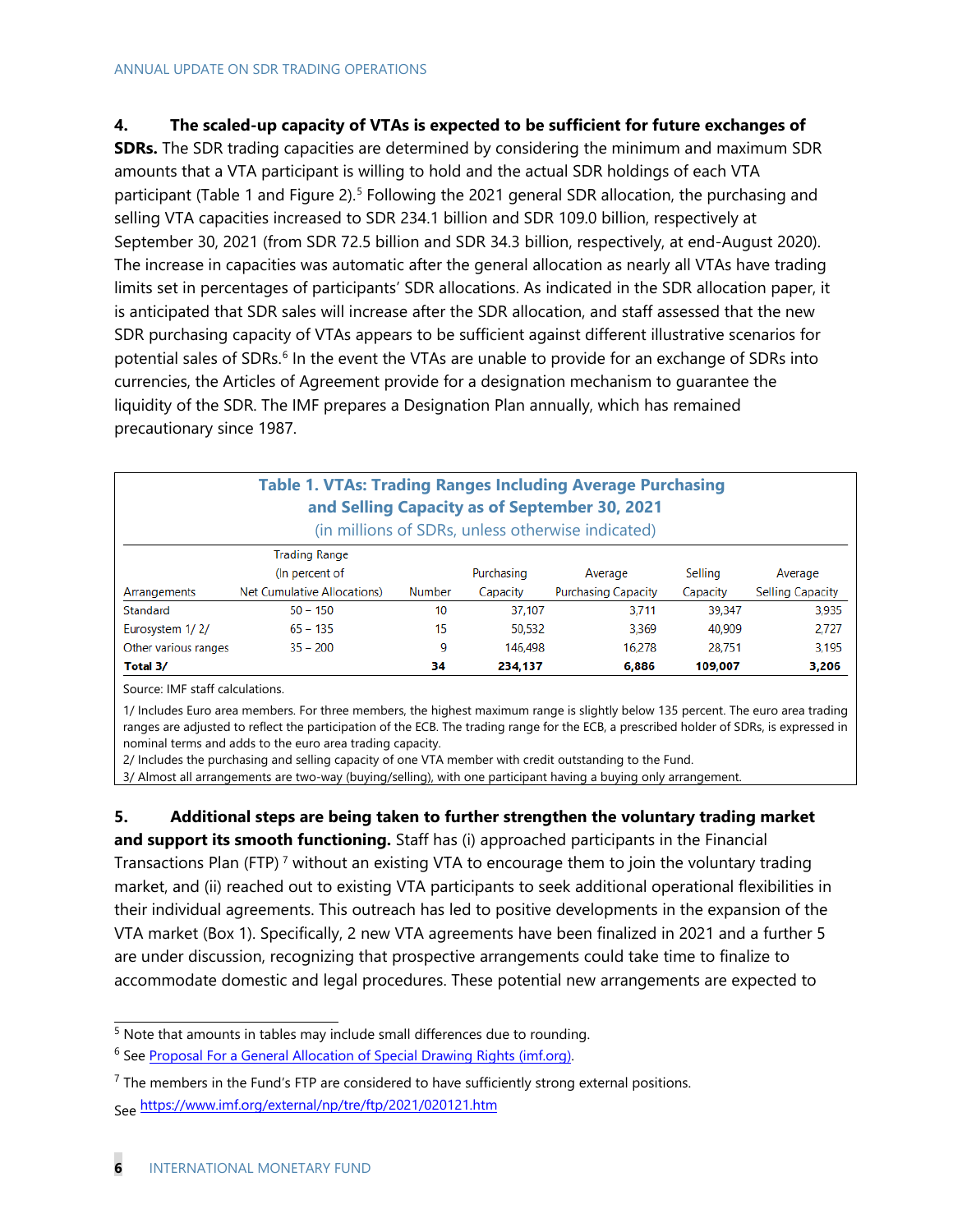#### **4. The scaled-up capacity of VTAs is expected to be sufficient for future exchanges of**

**SDRs.** The SDR trading capacities are determined by considering the minimum and maximum SDR amounts that a VTA participant is willing to hold and the actual SDR holdings of each VTA participant (Table 1 and Figure 2).<sup>[5](#page-6-0)</sup> Following the 2021 general SDR allocation, the purchasing and selling VTA capacities increased to SDR 234.1 billion and SDR 109.0 billion, respectively at September 30, 2021 (from SDR 72.5 billion and SDR 34.3 billion, respectively, at end-August 2020). The increase in capacities was automatic after the general allocation as nearly all VTAs have trading limits set in percentages of participants' SDR allocations. As indicated in the SDR allocation paper, it is anticipated that SDR sales will increase after the SDR allocation, and staff assessed that the new SDR purchasing capacity of VTAs appears to be sufficient against different illustrative scenarios for potential sales of SDRs.<sup>[6](#page-6-1)</sup> In the event the VTAs are unable to provide for an exchange of SDRs into currencies, the Articles of Agreement provide for a designation mechanism to guarantee the liquidity of the SDR. The IMF prepares a Designation Plan annually, which has remained precautionary since 1987.

|                      | <b>Table 1. VTAs: Trading Ranges Including Average Purchasing</b> |               |            | and Selling Capacity as of September 30, 2021<br>(in millions of SDRs, unless otherwise indicated) |          |                         |
|----------------------|-------------------------------------------------------------------|---------------|------------|----------------------------------------------------------------------------------------------------|----------|-------------------------|
|                      | <b>Trading Range</b>                                              |               |            |                                                                                                    |          |                         |
|                      | (In percent of                                                    |               | Purchasing | Average                                                                                            | Selling  | Average                 |
| Arrangements         | <b>Net Cumulative Allocations)</b>                                | <b>Number</b> | Capacity   | <b>Purchasing Capacity</b>                                                                         | Capacity | <b>Selling Capacity</b> |
| Standard             | $50 - 150$                                                        | 10            | 37.107     | 3,711                                                                                              | 39.347   | 3,935                   |
| Eurosystem 1/2/      | $65 - 135$                                                        | 15            | 50.532     | 3.369                                                                                              | 40.909   | 2.727                   |
| Other various ranges | $35 - 200$                                                        | 9             | 146.498    | 16,278                                                                                             | 28.751   | 3.195                   |
| Total 3/             |                                                                   | 34            | 234.137    | 6.886                                                                                              | 109,007  | 3,206                   |

Source: IMF staff calculations.

1/ Includes Euro area members. For three members, the highest maximum range is slightly below 135 percent. The euro area trading ranges are adjusted to reflect the participation of the ECB. The trading range for the ECB, a prescribed holder of SDRs, is expressed in nominal terms and adds to the euro area trading capacity.

2/ Includes the purchasing and selling capacity of one VTA member with credit outstanding to the Fund.

3/ Almost all arrangements are two-way (buying/selling), with one participant having a buying only arrangement.

**5. Additional steps are being taken to further strengthen the voluntary trading market**

**and support its smooth functioning.** Staff has (i) approached participants in the Financial Transactions Plan (FTP)<sup>7</sup> without an existing VTA to encourage them to join the voluntary trading market, and (ii) reached out to existing VTA participants to seek additional operational flexibilities in their individual agreements. This outreach has led to positive developments in the expansion of the VTA market (Box 1). Specifically, 2 new VTA agreements have been finalized in 2021 and a further 5 are under discussion, recognizing that prospective arrangements could take time to finalize to accommodate domestic and legal procedures. These potential new arrangements are expected to

<span id="page-6-0"></span> $5$  Note that amounts in tables may include small differences due to rounding.

<span id="page-6-1"></span><sup>&</sup>lt;sup>6</sup> See Proposal For a General [Allocation of Special Drawing Rights \(imf.org\).](https://www.imf.org/en/Publications/Policy-Papers/Issues/2021/07/12/Proposal-For-a-General-Allocation-of-Special-Drawing-Rights-461907)

 $<sup>7</sup>$  The members in the Fund's FTP are considered to have sufficiently strong external positions.</sup> See https://www.imf.org/external/np/tre/ftp/2021/020121.htm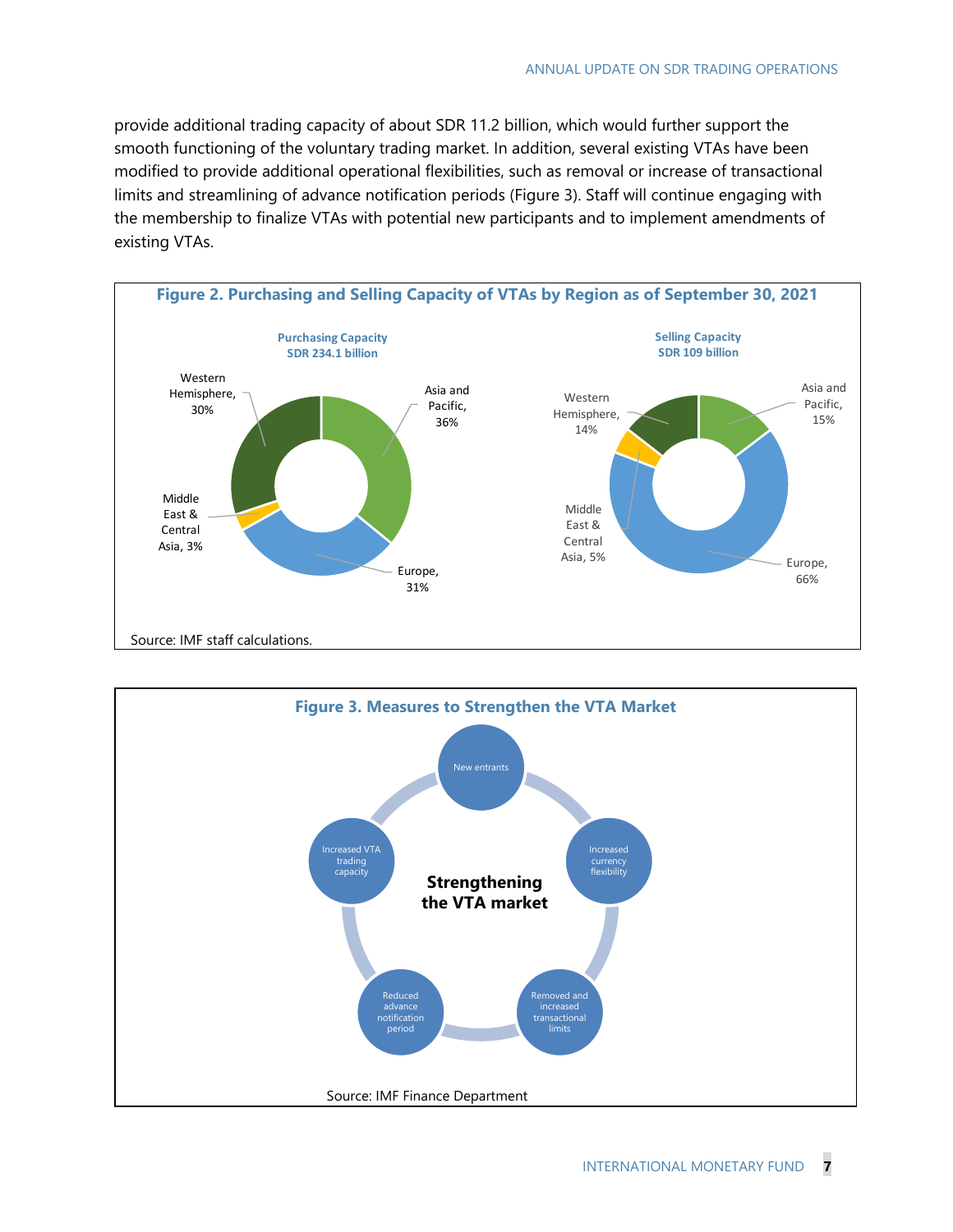provide additional trading capacity of about SDR 11.2 billion, which would further support the smooth functioning of the voluntary trading market. In addition, several existing VTAs have been modified to provide additional operational flexibilities, such as removal or increase of transactional limits and streamlining of advance notification periods (Figure 3). Staff will continue engaging with the membership to finalize VTAs with potential new participants and to implement amendments of existing VTAs.



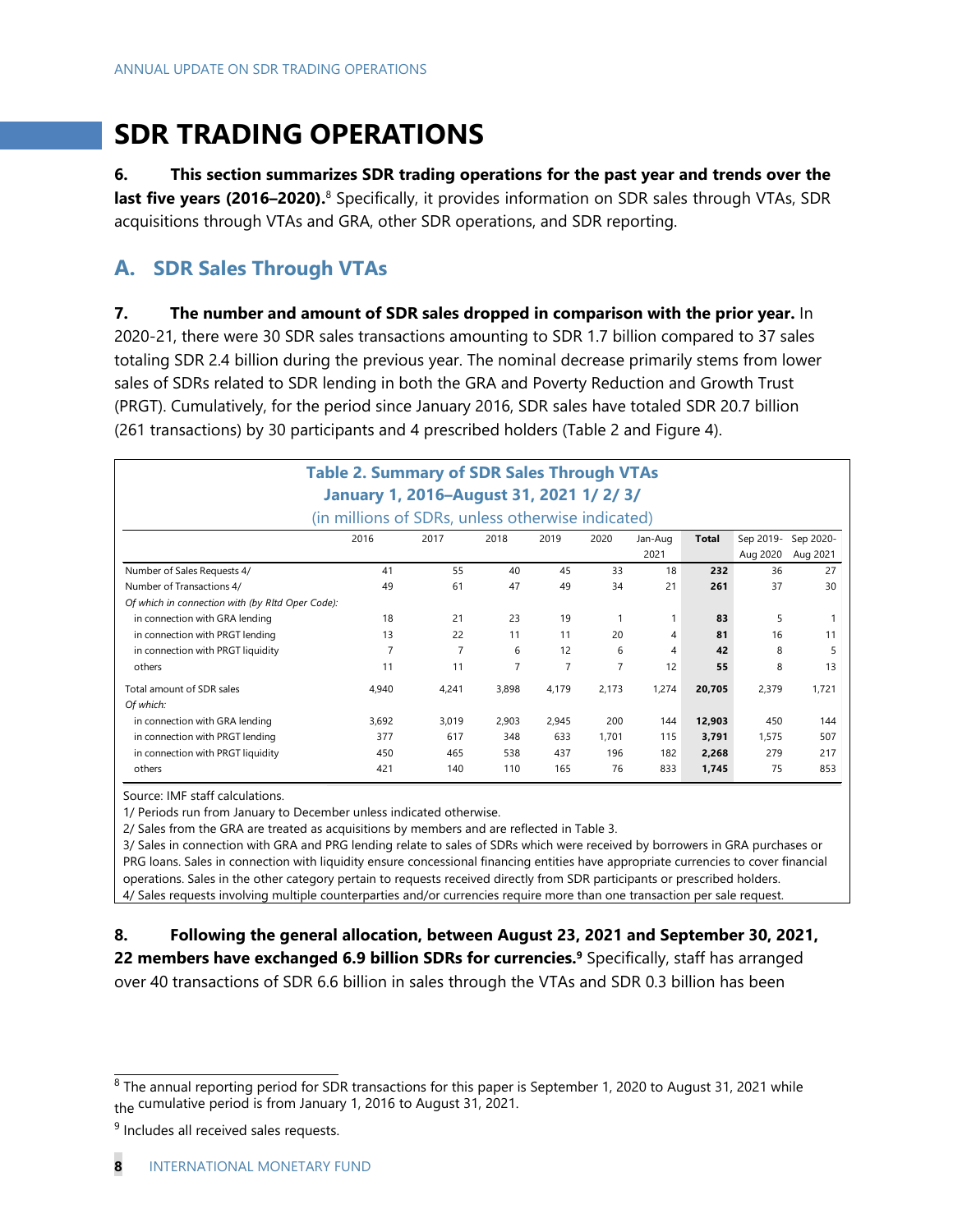## **SDR TRADING OPERATIONS**

**6. This section summarizes SDR trading operations for the past year and trends over the last five years (2016–2020).**8 Specifically, it provides information on SDR sales through VTAs, SDR acquisitions through VTAs and GRA, other SDR operations, and SDR reporting.

## **A. SDR Sales Through VTAs**

**7. The number and amount of SDR sales dropped in comparison with the prior year.** In 2020-21, there were 30 SDR sales transactions amounting to SDR 1.7 billion compared to 37 sales totaling SDR 2.4 billion during the previous year. The nominal decrease primarily stems from lower sales of SDRs related to SDR lending in both the GRA and Poverty Reduction and Growth Trust (PRGT). Cumulatively, for the period since January 2016, SDR sales have totaled SDR 20.7 billion (261 transactions) by 30 participants and 4 prescribed holders (Table 2 and Figure 4).

|                                                  | <b>Table 2. Summary of SDR Sales Through VTAs</b><br>January 1, 2016-August 31, 2021 1/2/3/<br>(in millions of SDRs, unless otherwise indicated) |                |       |                |       |         |        |           |           |
|--------------------------------------------------|--------------------------------------------------------------------------------------------------------------------------------------------------|----------------|-------|----------------|-------|---------|--------|-----------|-----------|
|                                                  | 2016                                                                                                                                             | 2017           | 2018  | 2019           | 2020  | Jan-Aug | Total  | Sep 2019- | Sep 2020- |
|                                                  |                                                                                                                                                  |                |       |                |       | 2021    |        | Aug 2020  | Aug 2021  |
| Number of Sales Requests 4/                      | 41                                                                                                                                               | 55             | 40    | 45             | 33    | 18      | 232    | 36        | 27        |
| Number of Transactions 4/                        | 49                                                                                                                                               | 61             | 47    | 49             | 34    | 21      | 261    | 37        | 30        |
| Of which in connection with (by RItd Oper Code): |                                                                                                                                                  |                |       |                |       |         |        |           |           |
| in connection with GRA lending                   | 18                                                                                                                                               | 21             | 23    | 19             | 1     |         | 83     | 5         |           |
| in connection with PRGT lending                  | 13                                                                                                                                               | 22             | 11    | 11             | 20    | 4       | 81     | 16        | 11        |
| in connection with PRGT liquidity                | $\overline{7}$                                                                                                                                   | $\overline{7}$ | 6     | 12             | 6     | 4       | 42     | 8         | 5         |
| others                                           | 11                                                                                                                                               | 11             | 7     | $\overline{7}$ | 7     | 12      | 55     | 8         | 13        |
| Total amount of SDR sales                        | 4.940                                                                                                                                            | 4,241          | 3,898 | 4,179          | 2,173 | 1,274   | 20,705 | 2,379     | 1.721     |
| Of which:                                        |                                                                                                                                                  |                |       |                |       |         |        |           |           |
| in connection with GRA lending                   | 3.692                                                                                                                                            | 3.019          | 2.903 | 2,945          | 200   | 144     | 12,903 | 450       | 144       |
| in connection with PRGT lending                  | 377                                                                                                                                              | 617            | 348   | 633            | 1.701 | 115     | 3,791  | 1.575     | 507       |
| in connection with PRGT liquidity                | 450                                                                                                                                              | 465            | 538   | 437            | 196   | 182     | 2,268  | 279       | 217       |
| others                                           | 421                                                                                                                                              | 140            | 110   | 165            | 76    | 833     | 1,745  | 75        | 853       |

Source: IMF staff calculations.

1/ Periods run from January to December unless indicated otherwise.

2/ Sales from the GRA are treated as acquisitions by members and are reflected in Table 3.

3/ Sales in connection with GRA and PRG lending relate to sales of SDRs which were received by borrowers in GRA purchases or PRG loans. Sales in connection with liquidity ensure concessional financing entities have appropriate currencies to cover financial operations. Sales in the other category pertain to requests received directly from SDR participants or prescribed holders. 4/ Sales requests involving multiple counterparties and/or currencies require more than one transaction per sale request.

#### **8. Following the general allocation, between August 23, 2021 and September 30, 2021,**

**22 members have exchanged 6.9 billion SDRs for currencies.<sup>9</sup>** Specifically, staff has arranged over 40 transactions of SDR 6.6 billion in sales through the VTAs and SDR 0.3 billion has been

<sup>&</sup>lt;sup>8</sup> The annual reporting period for SDR transactions for this paper is September 1, 2020 to August 31, 2021 while the cumulative period is from January 1, 2016 to August 31, 2021.

<sup>&</sup>lt;sup>9</sup> Includes all received sales requests.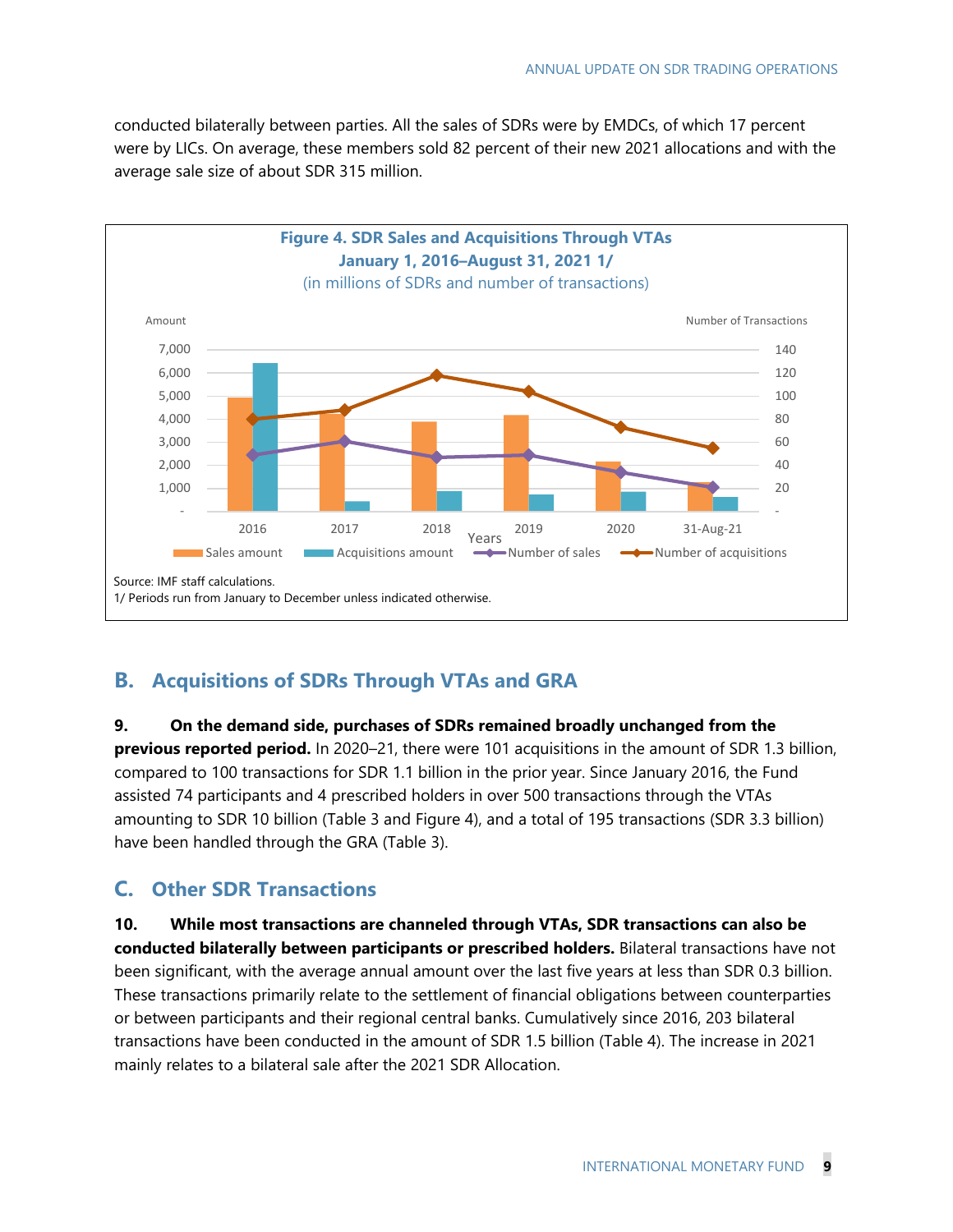conducted bilaterally between parties. All the sales of SDRs were by EMDCs, of which 17 percent were by LICs. On average, these members sold 82 percent of their new 2021 allocations and with the average sale size of about SDR 315 million.



## **B. Acquisitions of SDRs Through VTAs and GRA**

#### **9. On the demand side, purchases of SDRs remained broadly unchanged from the**

**previous reported period.** In 2020–21, there were 101 acquisitions in the amount of SDR 1.3 billion, compared to 100 transactions for SDR 1.1 billion in the prior year. Since January 2016, the Fund assisted 74 participants and 4 prescribed holders in over 500 transactions through the VTAs amounting to SDR 10 billion (Table 3 and Figure 4), and a total of 195 transactions (SDR 3.3 billion) have been handled through the GRA (Table 3).

### **C. Other SDR Transactions**

**10. While most transactions are channeled through VTAs, SDR transactions can also be conducted bilaterally between participants or prescribed holders.** Bilateral transactions have not been significant, with the average annual amount over the last five years at less than SDR 0.3 billion. These transactions primarily relate to the settlement of financial obligations between counterparties or between participants and their regional central banks. Cumulatively since 2016, 203 bilateral transactions have been conducted in the amount of SDR 1.5 billion (Table 4). The increase in 2021 mainly relates to a bilateral sale after the 2021 SDR Allocation.